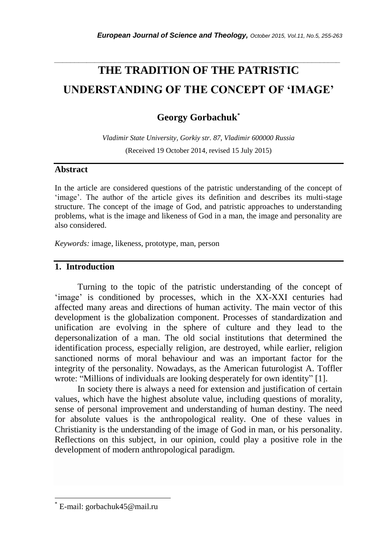# **THE TRADITION OF THE PATRISTIC UNDERSTANDING OF THE CONCEPT OF 'IMAGE'**

*\_\_\_\_\_\_\_\_\_\_\_\_\_\_\_\_\_\_\_\_\_\_\_\_\_\_\_\_\_\_\_\_\_\_\_\_\_\_\_\_\_\_\_\_\_\_\_\_\_\_\_\_\_\_\_\_\_\_\_\_\_\_\_\_\_\_\_\_\_\_\_*

# **Georgy Gorbachuk\***

*Vladimir State University, Gorkiy str. 87, Vladimir 600000 Russia* (Received 19 October 2014, revised 15 July 2015)

#### **Abstract**

In the article are considered questions of the patristic understanding of the concept of "image". The author of the article gives its definition and describes its multi-stage structure. The concept of the image of God, and patristic approaches to understanding problems, what is the image and likeness of God in a man, the image and personality are also considered.

*Keywords:* image, likeness, prototype, man, person

## **1. Introduction**

Turning to the topic of the patristic understanding of the concept of 'image' is conditioned by processes, which in the XX-XXI centuries had affected many areas and directions of human activity. The main vector of this development is the globalization component. Processes of standardization and unification are evolving in the sphere of culture and they lead to the depersonalization of a man. The old social institutions that determined the identification process, especially religion, are destroyed, while earlier, religion sanctioned norms of moral behaviour and was an important factor for the integrity of the personality. Nowadays, as the American futurologist A. Toffler wrote: "Millions of individuals are looking desperately for own identity" [1].

In society there is always a need for extension and justification of certain values, which have the highest absolute value, including questions of morality, sense of personal improvement and understanding of human destiny. The need for absolute values is the anthropological reality. One of these values in Christianity is the understanding of the image of God in man, or his personality. Reflections on this subject, in our opinion, could play a positive role in the development of modern anthropological paradigm.

l

E-mail: gorbachuk45@mail.ru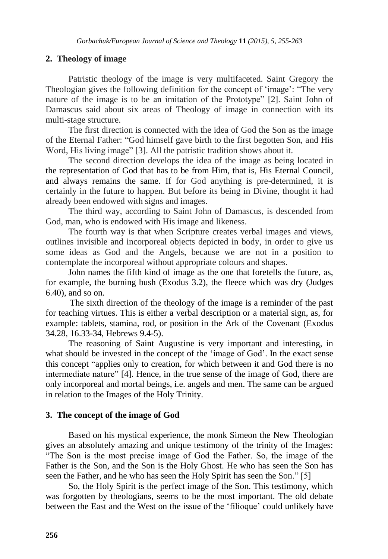#### **2. Theology of image**

Patristic theology of the image is very multifaceted. Saint Gregory the Theologian gives the following definition for the concept of 'image': "The very nature of the image is to be an imitation of the Prototype" [2]. Saint John of Damascus said about six areas of Theology of image in connection with its multi-stage structure.

The first direction is connected with the idea of God the Son as the image of the Eternal Father: "God himself gave birth to the first begotten Son, and His Word, His living image" [3]. All the patristic tradition shows about it.

The second direction develops the idea of the image as being located in the representation of God that has to be from Him, that is, His Eternal Council, and always remains the same. If for God anything is pre-determined, it is certainly in the future to happen. But before its being in Divine, thought it had already been endowed with signs and images.

The third way, according to Saint John of Damascus, is descended from God, man, who is endowed with His image and likeness.

The fourth way is that when Scripture creates verbal images and views, outlines invisible and incorporeal objects depicted in body, in order to give us some ideas as God and the Angels, because we are not in a position to contemplate the incorporeal without appropriate colours and shapes.

John names the fifth kind of image as the one that foretells the future, as, for example, the burning bush (Exodus 3.2), the fleece which was dry (Judges 6.40), and so on.

 The sixth direction of the theology of the image is a reminder of the past for teaching virtues. This is either a verbal description or a material sign, as, for example: tablets, stamina, rod, or position in the Ark of the Covenant (Exodus 34.28, 16.33-34, Hebrews 9.4-5).

The reasoning of Saint Augustine is very important and interesting, in what should be invested in the concept of the 'image of God'. In the exact sense this concept "applies only to creation, for which between it and God there is no intermediate nature" [4]. Hence, in the true sense of the image of God, there are only incorporeal and mortal beings, i.e. angels and men. The same can be argued in relation to the Images of the Holy Trinity.

## **3. The concept of the image of God**

Based on his mystical experience, the monk Simeon the New Theologian gives an absolutely amazing and unique testimony of the trinity of the Images: "The Son is the most precise image of God the Father. So, the image of the Father is the Son, and the Son is the Holy Ghost. He who has seen the Son has seen the Father, and he who has seen the Holy Spirit has seen the Son." [5]

So, the Holy Spirit is the perfect image of the Son. This testimony, which was forgotten by theologians, seems to be the most important. The old debate between the East and the West on the issue of the "filioque" could unlikely have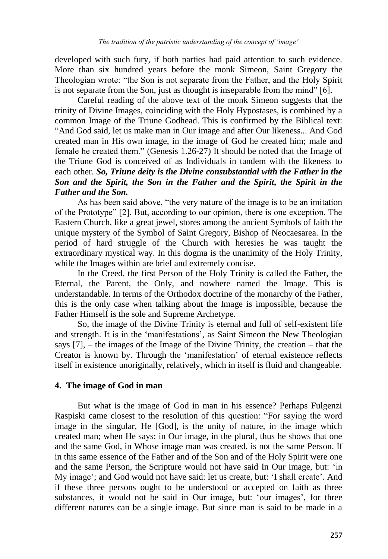developed with such fury, if both parties had paid attention to such evidence. More than six hundred years before the monk Simeon, Saint Gregory the Theologian wrote: "the Son is not separate from the Father, and the Holy Spirit is not separate from the Son, just as thought is inseparable from the mind" [6].

Careful reading of the above text of the monk Simeon suggests that the trinity of Divine Images, coinciding with the Holy Hypostases, is combined by a common Image of the Triune Godhead. This is confirmed by the Biblical text: "And God said, let us make man in Our image and after Our likeness... And God created man in His own image, in the image of God he created him; male and female he created them." (Genesis 1.26-27) It should be noted that the Image of the Triune God is conceived of as Individuals in tandem with the likeness to each other. *So, Triune deity is the Divine consubstantial with the Father in the Son and the Spirit, the Son in the Father and the Spirit, the Spirit in the Father and the Son.*

As has been said above, "the very nature of the image is to be an imitation of the Prototype" [2]. But, according to our opinion, there is one exception. The Eastern Church, like a great jewel, stores among the ancient Symbols of faith the unique mystery of the Symbol of Saint Gregory, Bishop of Neocaesarea. In the period of hard struggle of the Church with heresies he was taught the extraordinary mystical way. In this dogma is the unanimity of the Holy Trinity, while the Images within are brief and extremely concise.

In the Creed, the first Person of the Holy Trinity is called the Father, the Eternal, the Parent, the Only, and nowhere named the Image. This is understandable. In terms of the Orthodox doctrine of the monarchy of the Father, this is the only case when talking about the Image is impossible, because the Father Himself is the sole and Supreme Archetype.

So, the image of the Divine Trinity is eternal and full of self-existent life and strength. It is in the "manifestations", as Saint Simeon the New Theologian says [7], – the images of the Image of the Divine Trinity, the creation – that the Creator is known by. Through the "manifestation" of eternal existence reflects itself in existence unoriginally, relatively, which in itself is fluid and changeable.

## **4. The image of God in man**

But what is the image of God in man in his essence? Perhaps Fulgenzi Raspiski came closest to the resolution of this question: "For saying the word image in the singular, He [God], is the unity of nature, in the image which created man; when He says: in Our image, in the plural, thus he shows that one and the same God, in Whose image man was created, is not the same Person. If in this same essence of the Father and of the Son and of the Holy Spirit were one and the same Person, the Scripture would not have said In Our image, but: "in My image'; and God would not have said: let us create, but: 'I shall create'. And if these three persons ought to be understood or accepted on faith as three substances, it would not be said in Our image, but: 'our images', for three different natures can be a single image. But since man is said to be made in a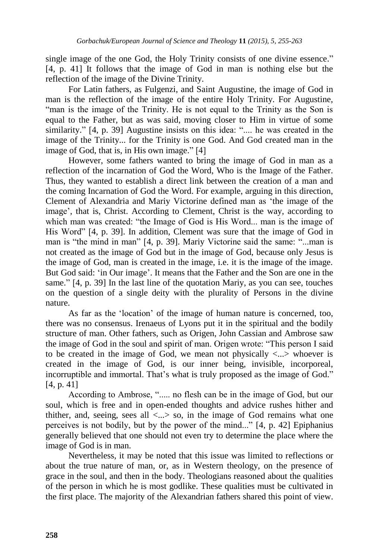single image of the one God, the Holy Trinity consists of one divine essence." [4, p. 41] It follows that the image of God in man is nothing else but the reflection of the image of the Divine Trinity.

For Latin fathers, as Fulgenzi, and Saint Augustine, the image of God in man is the reflection of the image of the entire Holy Trinity. For Augustine, "man is the image of the Trinity. He is not equal to the Trinity as the Son is equal to the Father, but as was said, moving closer to Him in virtue of some similarity." [4, p. 39] Augustine insists on this idea: ".... he was created in the image of the Trinity... for the Trinity is one God. And God created man in the image of God, that is, in His own image." [4]

However, some fathers wanted to bring the image of God in man as a reflection of the incarnation of God the Word, Who is the Image of the Father. Thus, they wanted to establish a direct link between the creation of a man and the coming Incarnation of God the Word. For example, arguing in this direction, Clement of Alexandria and Mariy Victorine defined man as "the image of the image", that is, Christ. According to Clement, Christ is the way, according to which man was created: "the Image of God is His Word... man is the image of His Word" [4, p. 39]. In addition, Clement was sure that the image of God in man is "the mind in man" [4, p. 39]. Mariy Victorine said the same: "...man is not created as the image of God but in the image of God, because only Jesus is the image of God, man is created in the image, i.e. it is the image of the image. But God said: 'in Our image'. It means that the Father and the Son are one in the same." [4, p. 39] In the last line of the quotation Mariy, as you can see, touches on the question of a single deity with the plurality of Persons in the divine nature.

As far as the "location" of the image of human nature is concerned, too, there was no consensus. Irenaeus of Lyons put it in the spiritual and the bodily structure of man. Other fathers, such as Origen, John Cassian and Ambrose saw the image of God in the soul and spirit of man. Origen wrote: "This person I said to be created in the image of God, we mean not physically  $\langle ... \rangle$  whoever is created in the image of God, is our inner being, invisible, incorporeal, incorruptible and immortal. That's what is truly proposed as the image of God." [4, p. 41]

According to Ambrose, "..... no flesh can be in the image of God, but our soul, which is free and in open-ended thoughts and advice rushes hither and thither, and, seeing, sees all  $\lt...$  so, in the image of God remains what one perceives is not bodily, but by the power of the mind..." [4, p. 42] Epiphanius generally believed that one should not even try to determine the place where the image of God is in man.

Nevertheless, it may be noted that this issue was limited to reflections or about the true nature of man, or, as in Western theology, on the presence of grace in the soul, and then in the body. Theologians reasoned about the qualities of the person in which he is most godlike. These qualities must be cultivated in the first place. The majority of the Alexandrian fathers shared this point of view.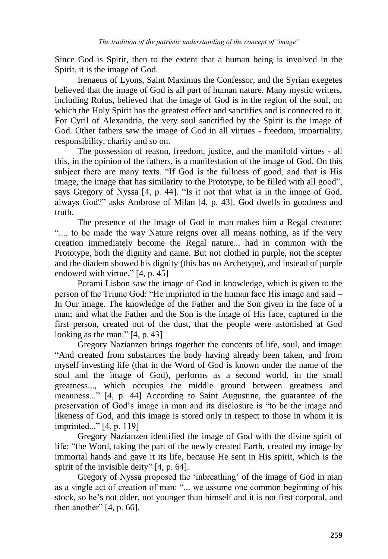Since God is Spirit, then to the extent that a human being is involved in the Spirit, it is the image of God.

Irenaeus of Lyons, Saint Maximus the Confessor, and the Syrian exegetes believed that the image of God is all part of human nature. Many mystic writers, including Rufus, believed that the image of God is in the region of the soul, on which the Holy Spirit has the greatest effect and sanctifies and is connected to it. For Cyril of Alexandria, the very soul sanctified by the Spirit is the image of God. Other fathers saw the image of God in all virtues - freedom, impartiality, responsibility, charity and so on.

The possession of reason, freedom, justice, and the manifold virtues - all this, in the opinion of the fathers, is a manifestation of the image of God. On this subject there are many texts. "If God is the fullness of good, and that is His image, the image that has similarity to the Prototype, to be filled with all good", says Gregory of Nyssa [4, p. 44]. "Is it not that what is in the image of God, always God?" asks Ambrose of Milan [4, p. 43]. God dwells in goodness and truth.

The presence of the image of God in man makes him a Regal creature: ".... to be made the way Nature reigns over all means nothing, as if the very creation immediately become the Regal nature... had in common with the Prototype, both the dignity and name. But not clothed in purple, not the scepter and the diadem showed his dignity (this has no Archetype), and instead of purple endowed with virtue." [4, p. 45]

Potami Lisbon saw the image of God in knowledge, which is given to the person of the Triune God: "He imprinted in the human face His image and said – In Our image. The knowledge of the Father and the Son given in the face of a man; and what the Father and the Son is the image of His face, captured in the first person, created out of the dust, that the people were astonished at God looking as the man." [4, p. 43]

Gregory Nazianzen brings together the concepts of life, soul, and image: "And created from substances the body having already been taken, and from myself investing life (that in the Word of God is known under the name of the soul and the image of God), performs as a second world, in the small greatness..., which occupies the middle ground between greatness and meanness..." [4, p. 44] According to Saint Augustine, the guarantee of the preservation of God"s image in man and its disclosure is "to be the image and likeness of God, and this image is stored only in respect to those in whom it is imprinted..." [4, p. 119]

Gregory Nazianzen identified the image of God with the divine spirit of life: "the Word, taking the part of the newly created Earth, created my image by immortal hands and gave it its life, because He sent in His spirit, which is the spirit of the invisible deity" [4, p. 64].

Gregory of Nyssa proposed the "inbreathing" of the image of God in man as a single act of creation of man: "... we assume one common beginning of his stock, so he's not older, not younger than himself and it is not first corporal, and then another"  $[4, p. 66]$ .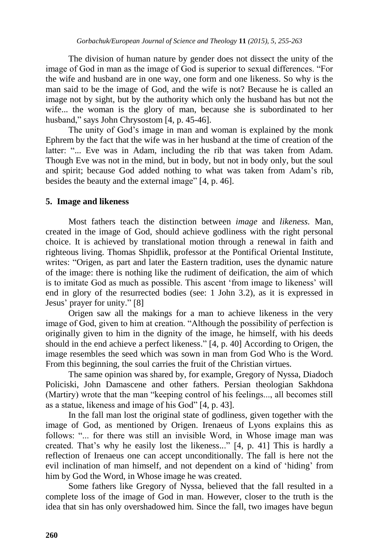The division of human nature by gender does not dissect the unity of the image of God in man as the image of God is superior to sexual differences. "For the wife and husband are in one way, one form and one likeness. So why is the man said to be the image of God, and the wife is not? Because he is called an image not by sight, but by the authority which only the husband has but not the wife... the woman is the glory of man, because she is subordinated to her husband," says John Chrysostom [4, p. 45-46].

The unity of God's image in man and woman is explained by the monk Ephrem by the fact that the wife was in her husband at the time of creation of the latter: "... Eve was in Adam, including the rib that was taken from Adam. Though Eve was not in the mind, but in body, but not in body only, but the soul and spirit; because God added nothing to what was taken from Adam"s rib, besides the beauty and the external image" [4, p. 46].

## **5. Image and likeness**

Most fathers teach the distinction between *image* and *likeness.* Man, created in the image of God, should achieve godliness with the right personal choice. It is achieved by translational motion through a renewal in faith and righteous living. Thomas Shpidlik, professor at the Pontifical Oriental Institute, writes: "Origen, as part and later the Eastern tradition, uses the dynamic nature of the image: there is nothing like the rudiment of deification, the aim of which is to imitate God as much as possible. This ascent 'from image to likeness' will end in glory of the resurrected bodies (see: 1 John 3.2), as it is expressed in Jesus" prayer for unity." [8]

Origen saw all the makings for a man to achieve likeness in the very image of God, given to him at creation. "Although the possibility of perfection is originally given to him in the dignity of the image, he himself, with his deeds should in the end achieve a perfect likeness." [4, p. 40] According to Origen, the image resembles the seed which was sown in man from God Who is the Word. From this beginning, the soul carries the fruit of the Christian virtues.

The same opinion was shared by, for example, Gregory of Nyssa, Diadoch Policiski, John Damascene and other fathers. Persian theologian Sakhdona (Martiry) wrote that the man "keeping control of his feelings..., all becomes still as a statue, likeness and image of his God" [4, p. 43].

In the fall man lost the original state of godliness, given together with the image of God, as mentioned by Origen. Irenaeus of Lyons explains this as follows: "... for there was still an invisible Word, in Whose image man was created. That"s why he easily lost the likeness..." [4, p. 41] This is hardly a reflection of Irenaeus one can accept unconditionally. The fall is here not the evil inclination of man himself, and not dependent on a kind of "hiding" from him by God the Word, in Whose image he was created.

Some fathers like Gregory of Nyssa, believed that the fall resulted in a complete loss of the image of God in man. However, closer to the truth is the idea that sin has only overshadowed him. Since the fall, two images have begun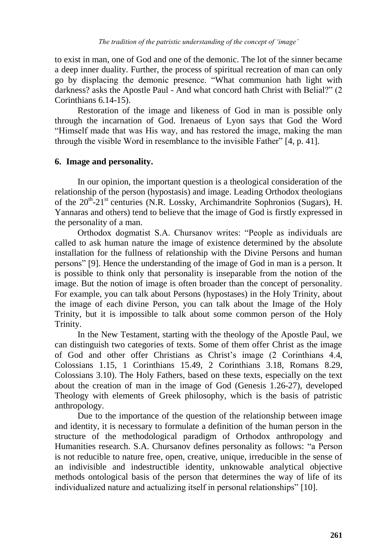to exist in man, one of God and one of the demonic. The lot of the sinner became a deep inner duality. Further, the process of spiritual recreation of man can only go by displacing the demonic presence. "What communion hath light with darkness? asks the Apostle Paul - And what concord hath Christ with Belial?" (2 Corinthians 6.14-15).

Restoration of the image and likeness of God in man is possible only through the incarnation of God. Irenaeus of Lyon says that God the Word "Himself made that was His way, and has restored the image, making the man through the visible Word in resemblance to the invisible Father" [4, p. 41].

#### **6. Image and personality.**

In our opinion, the important question is a theological consideration of the relationship of the person (hypostasis) and image. Leading Orthodox theologians of the 20<sup>th-21st</sup> centuries (N.R. Lossky, Archimandrite Sophronios (Sugars), H. Yannaras and others) tend to believe that the image of God is firstly expressed in the personality of a man.

Orthodox dogmatist S.A. Сhursanov writes: "People as individuals are called to ask human nature the image of existence determined by the absolute installation for the fullness of relationship with the Divine Persons and human persons" [9]. Hence the understanding of the image of God in man is a person. It is possible to think only that personality is inseparable from the notion of the image. But the notion of image is often broader than the concept of personality. For example, you can talk about Persons (hypostases) in the Holy Trinity, about the image of each divine Person, you can talk about the Image of the Holy Trinity, but it is impossible to talk about some common person of the Holy Trinity.

In the New Testament, starting with the theology of the Apostle Paul, we can distinguish two categories of texts. Some of them offer Christ as the image of God and other offer Christians as Christ"s image (2 Corinthians 4.4, Colossians 1.15, 1 Corinthians 15.49, 2 Corinthians 3.18, Romans 8.29, Colossians 3.10). The Holy Fathers, based on these texts, especially on the text about the creation of man in the image of God (Genesis 1.26-27), developed Theology with elements of Greek philosophy, which is the basis of patristic anthropology.

Due to the importance of the question of the relationship between image and identity, it is necessary to formulate a definition of the human person in the structure of the methodological paradigm of Orthodox anthropology and Humanities research. S.A. Chursanov defines personality as follows: "a Person is not reducible to nature free, open, creative, unique, irreducible in the sense of an indivisible and indestructible identity, unknowable analytical objective methods ontological basis of the person that determines the way of life of its individualized nature and actualizing itself in personal relationships" [10].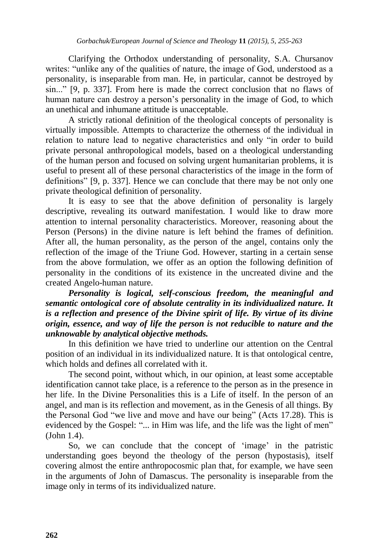Clarifying the Orthodox understanding of personality, S.A. Chursanov writes: "unlike any of the qualities of nature, the image of God, understood as a personality, is inseparable from man. He, in particular, cannot be destroyed by sin..." [9, p. 337]. From here is made the correct conclusion that no flaws of human nature can destroy a person's personality in the image of God, to which an unethical and inhumane attitude is unacceptable.

A strictly rational definition of the theological concepts of personality is virtually impossible. Attempts to characterize the otherness of the individual in relation to nature lead to negative characteristics and only "in order to build private personal anthropological models, based on a theological understanding of the human person and focused on solving urgent humanitarian problems, it is useful to present all of these personal characteristics of the image in the form of definitions" [9, p. 337]. Hence we can conclude that there may be not only one private theological definition of personality.

It is easy to see that the above definition of personality is largely descriptive, revealing its outward manifestation. I would like to draw more attention to internal personality characteristics. Moreover, reasoning about the Person (Persons) in the divine nature is left behind the frames of definition. After all, the human personality, as the person of the angel, contains only the reflection of the image of the Triune God. However, starting in a certain sense from the above formulation, we offer as an option the following definition of personality in the conditions of its existence in the uncreated divine and the created Angelo-human nature.

*Personality is logical, self-conscious freedom, the meaningful and semantic ontological core of absolute centrality in its individualized nature. It is a reflection and presence of the Divine spirit of life. By virtue of its divine origin, essence, and way of life the person is not reducible to nature and the unknowable by analytical objective methods.*

In this definition we have tried to underline our attention on the Central position of an individual in its individualized nature. It is that ontological centre, which holds and defines all correlated with it.

The second point, without which, in our opinion, at least some acceptable identification cannot take place, is a reference to the person as in the presence in her life. In the Divine Personalities this is a Life of itself. In the person of an angel, and man is its reflection and movement, as in the Genesis of all things. By the Personal God "we live and move and have our being" (Acts 17.28). This is evidenced by the Gospel: "... in Him was life, and the life was the light of men" (John 1.4).

So, we can conclude that the concept of 'image' in the patristic understanding goes beyond the theology of the person (hypostasis), itself covering almost the entire anthropocosmic plan that, for example, we have seen in the arguments of John of Damascus. The personality is inseparable from the image only in terms of its individualized nature.